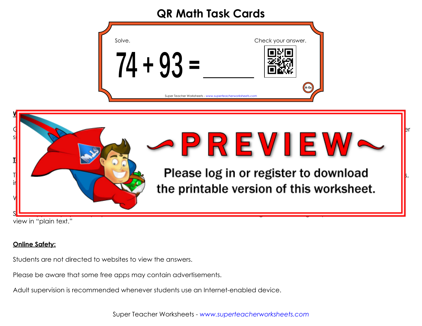## **QR Math Task Cards**

| Solve.                                                    | Check your answer. |
|-----------------------------------------------------------|--------------------|
| $/4 + 93 =$                                               |                    |
| Super Teacher Worksheets - www.superteacherworksheets.com | A-Ex               |



view in "plain text."

## **Online Safety:**

Students are not directed to websites to view the answers.

Please be aware that some free apps may contain advertisements.

Adult supervision is recommended whenever students use an Internet-enabled device.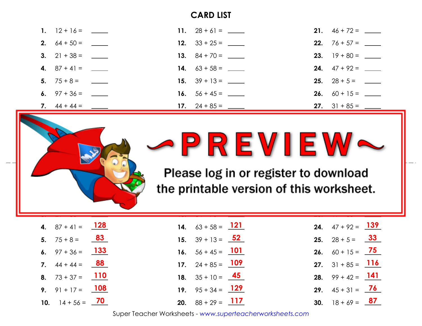## **CARD LIST**

|  | 11. $28 + 61 =$ _______         | <b>21.</b> $46 + 72 =$ ________ |
|--|---------------------------------|---------------------------------|
|  | <b>12.</b> $33 + 25 =$ ________ | <b>22.</b> $76 + 57 =$ ________ |
|  |                                 |                                 |
|  |                                 |                                 |
|  | 15. $39 + 13 =$ ______          | <b>25.</b> $28 + 5 =$ ________  |
|  | 16. $56 + 45 =$ _______         | <b>26.</b> $60 + 15 =$ _______  |
|  | 17. $24 + 85 =$ _______         | <b>27.</b> $31 + 85 =$ ________ |





**printable version of this worksheet.** Please log in or register to download

**99**

**23.** 19 + 80 =

**154**

| <b>4.</b> $87 + 41 =$ 128 |  | <b>14.</b> $63 + 58 = 121$            | <b>24.</b> $47 + 92 = 139$ |
|---------------------------|--|---------------------------------------|----------------------------|
| <b>5.</b> $75 + 8 = 83$   |  | <b>15.</b> $39 + 13 = \underline{52}$ | 25. $28 + 5 = 33$          |
| 6. $97 + 36 = 133$        |  | <b>16.</b> $56 + 45 = 101$            | <b>26.</b> $60 + 15 = 75$  |
| <b>7.</b> $44 + 44 = 88$  |  | 17. $24 + 85 = 109$                   | <b>27.</b> $31 + 85 = 116$ |
| <b>8.</b> $73 + 37 = 110$ |  | <b>18.</b> $35 + 10 = 45$             | <b>28.</b> $99 + 42 = 141$ |
| <b>9.</b> $91 + 17 = 108$ |  | 19. $95 + 34 = 129$                   | <b>29.</b> $45 + 31 = 76$  |
| <b>10.</b> $14 + 56 = 70$ |  | <b>20.</b> $88 + 29 = 117$            | <b>30.</b> $18 + 69 = 87$  |

**13.** 84 + 70 =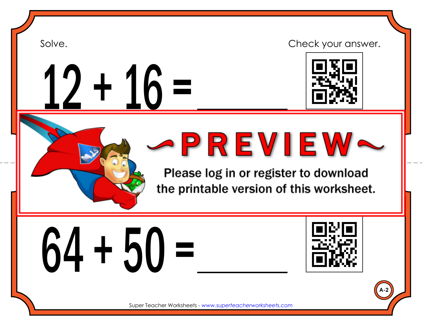$16 =$ 





Super Teacher Worksheets - *www.superteacherworksheets.com*

Please log in or register to download the printable version of this worksheet.

 $64 + 50 =$ 



**A-2**

Super Teacher Worksheets - *www.superteacherworksheets.com*

Solve. Check your answer. Check your answer. Check your answer. Check your answer. Check your answer.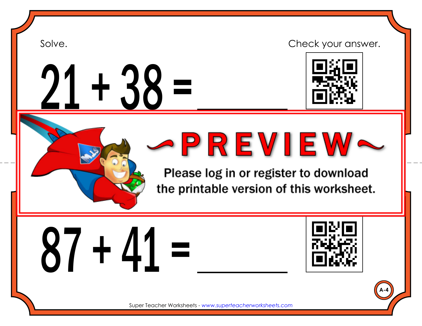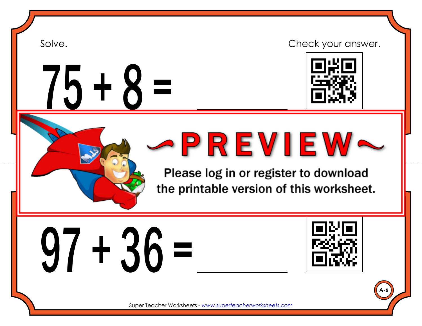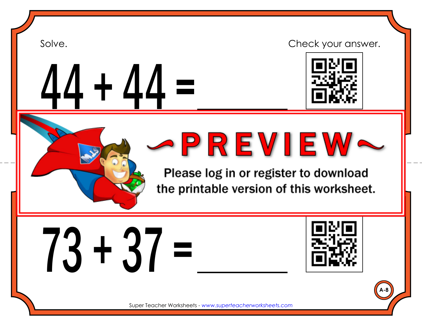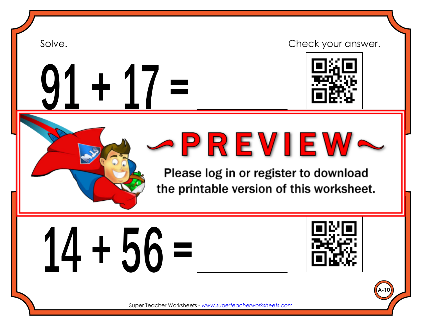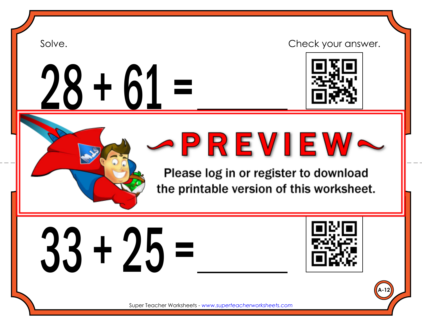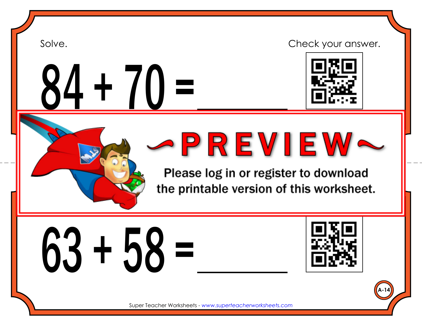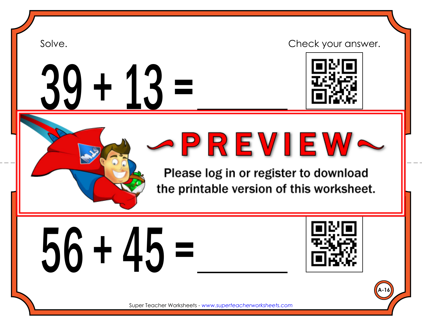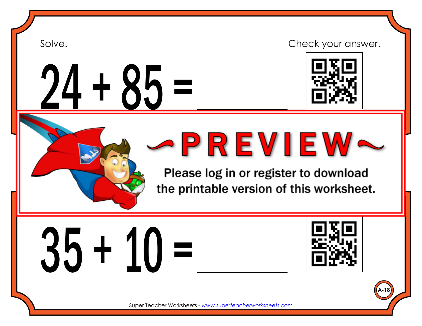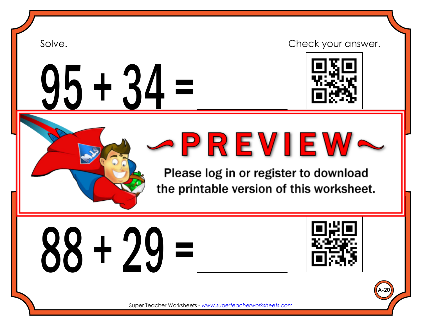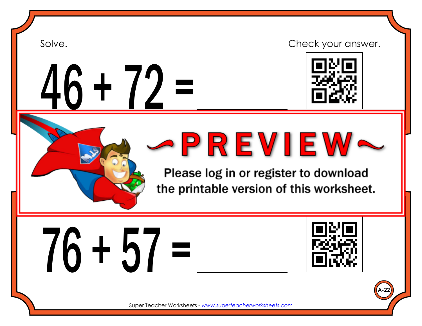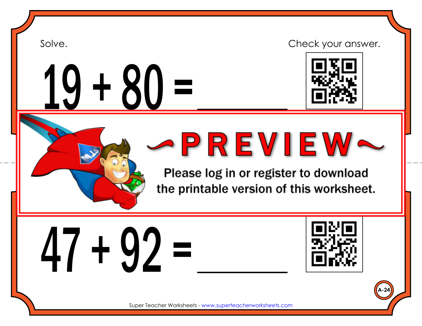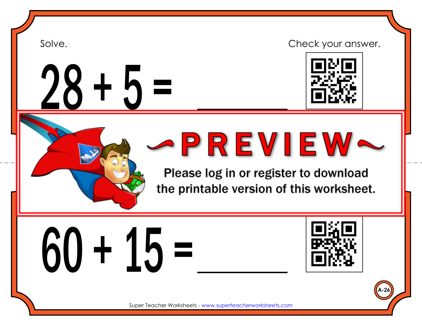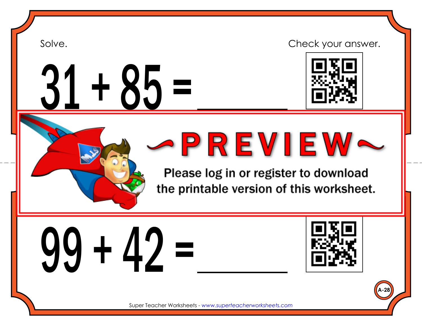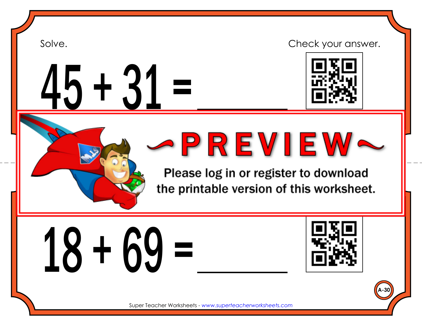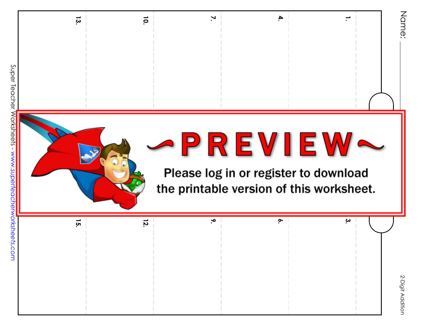